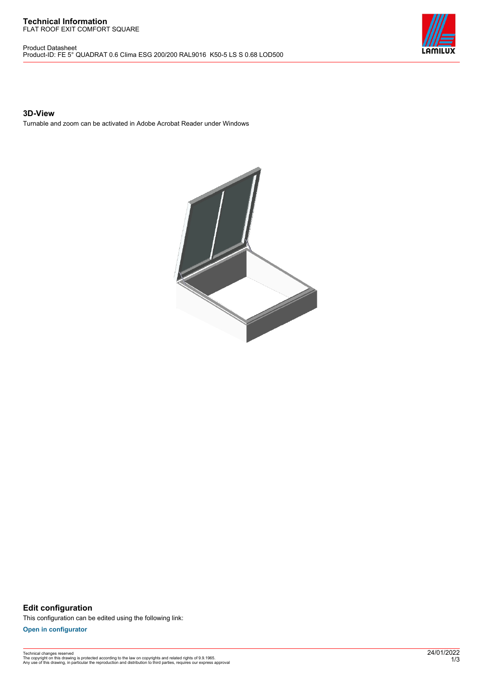#### **Technical Information** FLAT ROOF EXIT COMFORT SQUARE

Product Datasheet Product-ID: FE 5° QUADRAT 0.6 Clima ESG 200/200 RAL9016 K50-5 LS S 0.68 LOD500



## **3D-View**

Turnable and zoom can be activated in Adobe Acrobat Reader under Windows



**Edit configuration** This configuration can be edited using the following link:

**[Open in configurator](https://bimconfig.lamilux.com//?quickcode=CKMVGP)**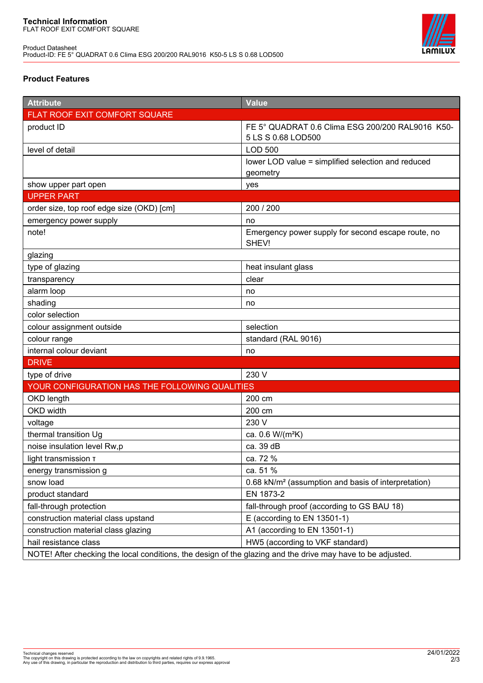

# **Product Features**

| <b>Attribute</b>                                                                                            | <b>Value</b>                                                    |
|-------------------------------------------------------------------------------------------------------------|-----------------------------------------------------------------|
| FLAT ROOF EXIT COMFORT SQUARE                                                                               |                                                                 |
| product ID                                                                                                  | FE 5° QUADRAT 0.6 Clima ESG 200/200 RAL9016 K50-                |
|                                                                                                             | 5 LS S 0.68 LOD500                                              |
| level of detail                                                                                             | <b>LOD 500</b>                                                  |
|                                                                                                             | lower LOD value = simplified selection and reduced              |
|                                                                                                             | geometry                                                        |
| show upper part open                                                                                        | yes                                                             |
| <b>UPPER PART</b>                                                                                           |                                                                 |
| order size, top roof edge size (OKD) [cm]                                                                   | 200 / 200                                                       |
| emergency power supply                                                                                      | no                                                              |
| note!                                                                                                       | Emergency power supply for second escape route, no<br>SHEV!     |
| glazing                                                                                                     |                                                                 |
| type of glazing                                                                                             | heat insulant glass                                             |
| transparency                                                                                                | clear                                                           |
| alarm loop                                                                                                  | no                                                              |
| shading                                                                                                     | no                                                              |
| color selection                                                                                             |                                                                 |
| colour assignment outside                                                                                   | selection                                                       |
| colour range                                                                                                | standard (RAL 9016)                                             |
| internal colour deviant                                                                                     | no                                                              |
| <b>DRIVE</b>                                                                                                |                                                                 |
| type of drive                                                                                               | 230 V                                                           |
| YOUR CONFIGURATION HAS THE FOLLOWING QUALITIES                                                              |                                                                 |
| OKD length                                                                                                  | 200 cm                                                          |
| OKD width                                                                                                   | 200 cm                                                          |
| voltage                                                                                                     | 230 V                                                           |
| thermal transition Ug                                                                                       | ca. 0.6 W/(m <sup>2</sup> K)                                    |
| noise insulation level Rw,p                                                                                 | ca. 39 dB                                                       |
| light transmission T                                                                                        | ca. 72 %                                                        |
| energy transmission g                                                                                       | ca. 51 %                                                        |
| snow load                                                                                                   | 0.68 kN/m <sup>2</sup> (assumption and basis of interpretation) |
| product standard                                                                                            | EN 1873-2                                                       |
| fall-through protection                                                                                     | fall-through proof (according to GS BAU 18)                     |
| construction material class upstand                                                                         | E (according to EN 13501-1)                                     |
| construction material class glazing                                                                         | A1 (according to EN 13501-1)                                    |
| hail resistance class                                                                                       | HW5 (according to VKF standard)                                 |
| NOTE! After checking the local conditions, the design of the glazing and the drive may have to be adjusted. |                                                                 |